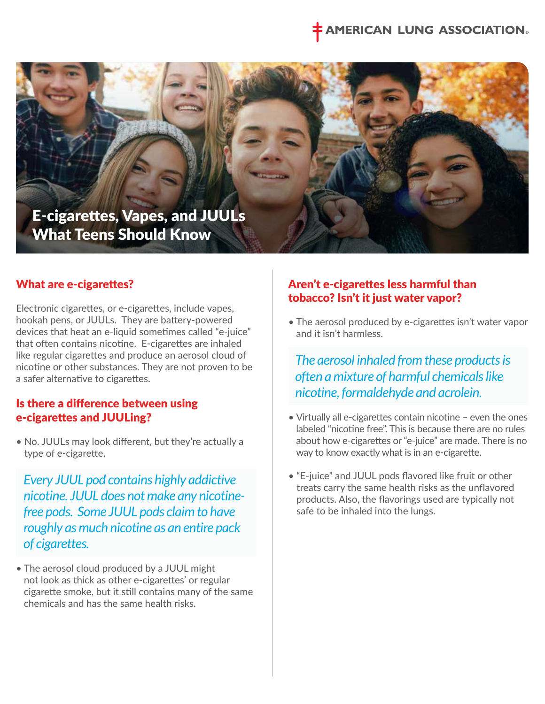# **IERICAN LUNG ASSOCIATION®**



#### What are e-cigarettes?

Electronic cigarettes, or e-cigarettes, include vapes, hookah pens, or JUULs. They are battery-powered devices that heat an e-liquid sometimes called "e-juice" that often contains nicotine. E-cigarettes are inhaled like regular cigarettes and produce an aerosol cloud of nicotine or other substances. They are not proven to be a safer alternative to cigarettes.

#### Is there a difference between using e-cigarettes and JUULing?

• No. JUULs may look different, but they're actually a type of e-cigarette.

 *Every JUUL pod contains highly addictive nicotine. JUUL does not make any nicotinefree pods. Some JUUL pods claim to have roughly as much nicotine as an entire pack of cigarettes.* 

• The aerosol cloud produced by a JUUL might not look as thick as other e-cigarettes' or regular cigarette smoke, but it still contains many of the same chemicals and has the same health risks.

## Aren't e-cigarettes less harmful than tobacco? Isn't it just water vapor?

• The aerosol produced by e-cigarettes isn't water vapor and it isn't harmless.

 *The aerosol inhaled from these products is often a mixture of harmful chemicals like nicotine, formaldehyde and acrolein.*

- Virtually all e-cigarettes contain nicotine even the ones labeled "nicotine free". This is because there are no rules about how e-cigarettes or "e-juice" are made. There is no way to know exactly what is in an e-cigarette.
- "E-juice" and JUUL pods flavored like fruit or other treats carry the same health risks as the unflavored products. Also, the flavorings used are typically not safe to be inhaled into the lungs.